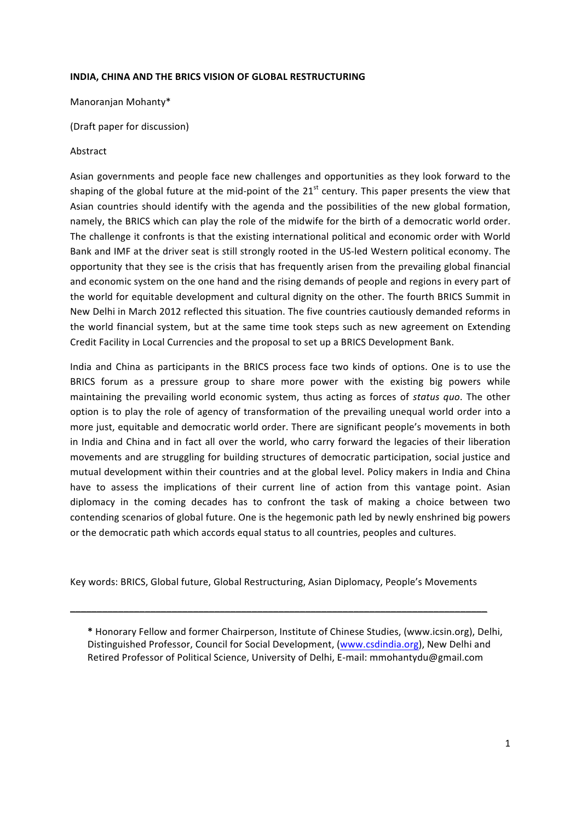## **INDIA, CHINA AND THE BRICS VISION OF GLOBAL RESTRUCTURING**

Manoranjan Mohanty\*

(Draft paper for discussion)

# Abstract

Asian governments and people face new challenges and opportunities as they look forward to the shaping of the global future at the mid-point of the  $21<sup>st</sup>$  century. This paper presents the view that Asian countries should identify with the agenda and the possibilities of the new global formation, namely, the BRICS which can play the role of the midwife for the birth of a democratic world order. The challenge it confronts is that the existing international political and economic order with World Bank and IMF at the driver seat is still strongly rooted in the US-led Western political economy. The opportunity that they see is the crisis that has frequently arisen from the prevailing global financial and economic system on the one hand and the rising demands of people and regions in every part of the world for equitable development and cultural dignity on the other. The fourth BRICS Summit in New Delhi in March 2012 reflected this situation. The five countries cautiously demanded reforms in the world financial system, but at the same time took steps such as new agreement on Extending Credit Facility in Local Currencies and the proposal to set up a BRICS Development Bank.

India and China as participants in the BRICS process face two kinds of options. One is to use the BRICS forum as a pressure group to share more power with the existing big powers while maintaining the prevailing world economic system, thus acting as forces of *status quo*. The other option is to play the role of agency of transformation of the prevailing unequal world order into a more just, equitable and democratic world order. There are significant people's movements in both in India and China and in fact all over the world, who carry forward the legacies of their liberation movements and are struggling for building structures of democratic participation, social justice and mutual development within their countries and at the global level. Policy makers in India and China have to assess the implications of their current line of action from this vantage point. Asian diplomacy in the coming decades has to confront the task of making a choice between two contending scenarios of global future. One is the hegemonic path led by newly enshrined big powers or the democratic path which accords equal status to all countries, peoples and cultures.

Key words: BRICS, Global future, Global Restructuring, Asian Diplomacy, People's Movements

\_\_\_\_\_\_\_\_\_\_\_\_\_\_\_\_\_\_\_\_\_\_\_\_\_\_\_\_\_\_\_\_\_\_\_\_\_\_\_\_\_\_\_\_\_\_\_\_\_\_\_\_\_\_\_\_\_\_\_\_\_\_\_\_\_\_\_\_\_\_\_\_\_\_\_\_\_\_

\* Honorary Fellow and former Chairperson, Institute of Chinese Studies, (www.icsin.org), Delhi, Distinguished Professor, Council for Social Development, (www.csdindia.org), New Delhi and Retired Professor of Political Science, University of Delhi, E-mail: mmohantydu@gmail.com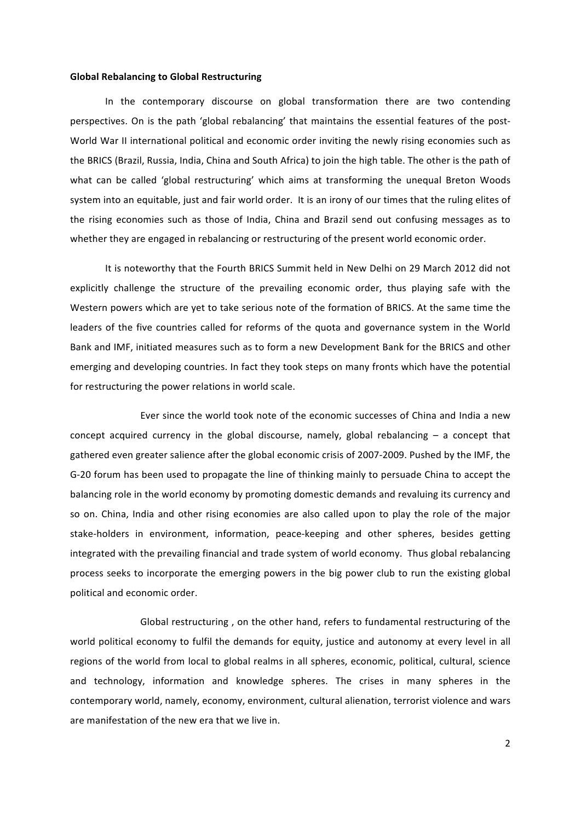#### **Global Rebalancing to Global Restructuring**

In the contemporary discourse on global transformation there are two contending perspectives. On is the path 'global rebalancing' that maintains the essential features of the post-World War II international political and economic order inviting the newly rising economies such as the BRICS (Brazil, Russia, India, China and South Africa) to join the high table. The other is the path of what can be called 'global restructuring' which aims at transforming the unequal Breton Woods system into an equitable, just and fair world order. It is an irony of our times that the ruling elites of the rising economies such as those of India, China and Brazil send out confusing messages as to whether they are engaged in rebalancing or restructuring of the present world economic order.

It is noteworthy that the Fourth BRICS Summit held in New Delhi on 29 March 2012 did not explicitly challenge the structure of the prevailing economic order, thus playing safe with the Western powers which are yet to take serious note of the formation of BRICS. At the same time the leaders of the five countries called for reforms of the quota and governance system in the World Bank and IMF, initiated measures such as to form a new Development Bank for the BRICS and other emerging and developing countries. In fact they took steps on many fronts which have the potential for restructuring the power relations in world scale.

Ever since the world took note of the economic successes of China and India a new concept acquired currency in the global discourse, namely, global rebalancing  $-$  a concept that gathered even greater salience after the global economic crisis of 2007-2009. Pushed by the IMF, the G-20 forum has been used to propagate the line of thinking mainly to persuade China to accept the balancing role in the world economy by promoting domestic demands and revaluing its currency and so on. China, India and other rising economies are also called upon to play the role of the major stake-holders in environment, information, peace-keeping and other spheres, besides getting integrated with the prevailing financial and trade system of world economy. Thus global rebalancing process seeks to incorporate the emerging powers in the big power club to run the existing global political and economic order.

Global restructuring, on the other hand, refers to fundamental restructuring of the world political economy to fulfil the demands for equity, justice and autonomy at every level in all regions of the world from local to global realms in all spheres, economic, political, cultural, science and technology, information and knowledge spheres. The crises in many spheres in the contemporary world, namely, economy, environment, cultural alienation, terrorist violence and wars are manifestation of the new era that we live in.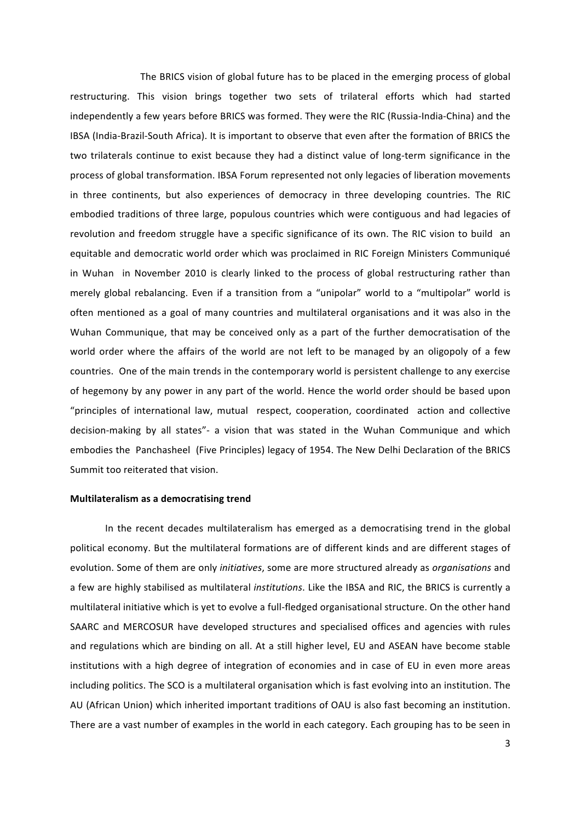The BRICS vision of global future has to be placed in the emerging process of global restructuring. This vision brings together two sets of trilateral efforts which had started independently a few years before BRICS was formed. They were the RIC (Russia-India-China) and the IBSA (India-Brazil-South Africa). It is important to observe that even after the formation of BRICS the two trilaterals continue to exist because they had a distinct value of long-term significance in the process of global transformation. IBSA Forum represented not only legacies of liberation movements in three continents, but also experiences of democracy in three developing countries. The RIC embodied traditions of three large, populous countries which were contiguous and had legacies of revolution and freedom struggle have a specific significance of its own. The RIC vision to build an equitable and democratic world order which was proclaimed in RIC Foreign Ministers Communiqué in Wuhan in November 2010 is clearly linked to the process of global restructuring rather than merely global rebalancing. Even if a transition from a "unipolar" world to a "multipolar" world is often mentioned as a goal of many countries and multilateral organisations and it was also in the Wuhan Communique, that may be conceived only as a part of the further democratisation of the world order where the affairs of the world are not left to be managed by an oligopoly of a few countries. One of the main trends in the contemporary world is persistent challenge to any exercise of hegemony by any power in any part of the world. Hence the world order should be based upon "principles of international law, mutual respect, cooperation, coordinated action and collective decision-making by all states"- a vision that was stated in the Wuhan Communique and which embodies the Panchasheel (Five Principles) legacy of 1954. The New Delhi Declaration of the BRICS Summit too reiterated that vision.

### **Multilateralism as a democratising trend**

In the recent decades multilateralism has emerged as a democratising trend in the global political economy. But the multilateral formations are of different kinds and are different stages of evolution. Some of them are only *initiatives*, some are more structured already as *organisations* and a few are highly stabilised as multilateral *institutions*. Like the IBSA and RIC, the BRICS is currently a multilateral initiative which is yet to evolve a full-fledged organisational structure. On the other hand SAARC and MERCOSUR have developed structures and specialised offices and agencies with rules and regulations which are binding on all. At a still higher level, EU and ASEAN have become stable institutions with a high degree of integration of economies and in case of EU in even more areas including politics. The SCO is a multilateral organisation which is fast evolving into an institution. The AU (African Union) which inherited important traditions of OAU is also fast becoming an institution. There are a vast number of examples in the world in each category. Each grouping has to be seen in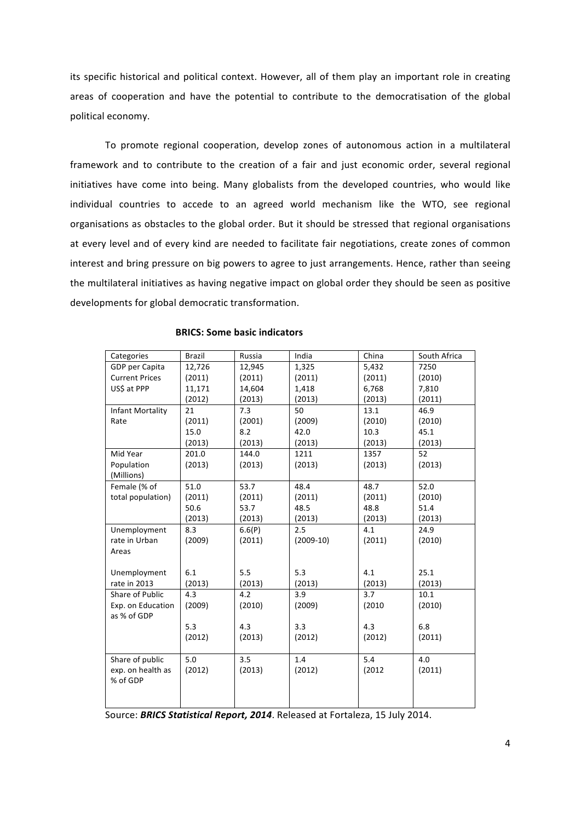its specific historical and political context. However, all of them play an important role in creating areas of cooperation and have the potential to contribute to the democratisation of the global political economy.

To promote regional cooperation, develop zones of autonomous action in a multilateral framework and to contribute to the creation of a fair and just economic order, several regional initiatives have come into being. Many globalists from the developed countries, who would like individual countries to accede to an agreed world mechanism like the WTO, see regional organisations as obstacles to the global order. But it should be stressed that regional organisations at every level and of every kind are needed to facilitate fair negotiations, create zones of common interest and bring pressure on big powers to agree to just arrangements. Hence, rather than seeing the multilateral initiatives as having negative impact on global order they should be seen as positive developments for global democratic transformation.

| Categories            | <b>Brazil</b> | Russia | India       | China  | South Africa |
|-----------------------|---------------|--------|-------------|--------|--------------|
| GDP per Capita        | 12,726        | 12,945 | 1,325       | 5,432  | 7250         |
| <b>Current Prices</b> | (2011)        | (2011) | (2011)      | (2011) | (2010)       |
| US\$ at PPP           | 11,171        | 14,604 | 1,418       | 6,768  | 7,810        |
|                       | (2012)        | (2013) | (2013)      | (2013) | (2011)       |
| Infant Mortality      | 21            | 7.3    | 50          | 13.1   | 46.9         |
| Rate                  | (2011)        | (2001) | (2009)      | (2010) | (2010)       |
|                       | 15.0          | 8.2    | 42.0        | 10.3   | 45.1         |
|                       | (2013)        | (2013) | (2013)      | (2013) | (2013)       |
| Mid Year              | 201.0         | 144.0  | 1211        | 1357   | 52           |
| Population            | (2013)        | (2013) | (2013)      | (2013) | (2013)       |
| (Millions)            |               |        |             |        |              |
| Female (% of          | 51.0          | 53.7   | 48.4        | 48.7   | 52.0         |
| total population)     | (2011)        | (2011) | (2011)      | (2011) | (2010)       |
|                       | 50.6          | 53.7   | 48.5        | 48.8   | 51.4         |
|                       | (2013)        | (2013) | (2013)      | (2013) | (2013)       |
| Unemployment          | 8.3           | 6.6(P) | 2.5         | 4.1    | 24.9         |
| rate in Urban         | (2009)        | (2011) | $(2009-10)$ | (2011) | (2010)       |
| Areas                 |               |        |             |        |              |
|                       |               |        |             |        |              |
| Unemployment          | 6.1           | 5.5    | 5.3         | 4.1    | 25.1         |
| rate in 2013          | (2013)        | (2013) | (2013)      | (2013) | (2013)       |
| Share of Public       | 4.3           | 4.2    | 3.9         | 3.7    | 10.1         |
| Exp. on Education     | (2009)        | (2010) | (2009)      | (2010) | (2010)       |
| as % of GDP           |               |        |             |        |              |
|                       | 5.3           | 4.3    | 3.3         | 4.3    | 6.8          |
|                       | (2012)        | (2013) | (2012)      | (2012) | (2011)       |
|                       |               |        |             |        |              |
| Share of public       | 5.0           | 3.5    | 1.4         | 5.4    | 4.0          |
| exp. on health as     | (2012)        | (2013) | (2012)      | (2012) | (2011)       |
| % of GDP              |               |        |             |        |              |
|                       |               |        |             |        |              |
|                       |               |        |             |        |              |

#### **BRICS: Some basic indicators**

Source: **BRICS Statistical Report, 2014**. Released at Fortaleza, 15 July 2014.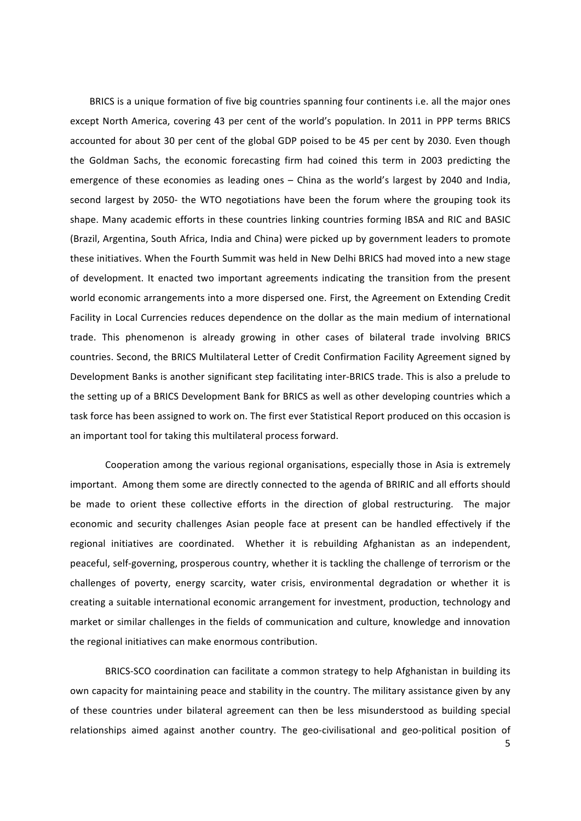BRICS is a unique formation of five big countries spanning four continents i.e. all the major ones except North America, covering 43 per cent of the world's population. In 2011 in PPP terms BRICS accounted for about 30 per cent of the global GDP poised to be 45 per cent by 2030. Even though the Goldman Sachs, the economic forecasting firm had coined this term in 2003 predicting the emergence of these economies as leading ones – China as the world's largest by 2040 and India, second largest by 2050- the WTO negotiations have been the forum where the grouping took its shape. Many academic efforts in these countries linking countries forming IBSA and RIC and BASIC (Brazil, Argentina, South Africa, India and China) were picked up by government leaders to promote these initiatives. When the Fourth Summit was held in New Delhi BRICS had moved into a new stage of development. It enacted two important agreements indicating the transition from the present world economic arrangements into a more dispersed one. First, the Agreement on Extending Credit Facility in Local Currencies reduces dependence on the dollar as the main medium of international trade. This phenomenon is already growing in other cases of bilateral trade involving BRICS countries. Second, the BRICS Multilateral Letter of Credit Confirmation Facility Agreement signed by Development Banks is another significant step facilitating inter-BRICS trade. This is also a prelude to the setting up of a BRICS Development Bank for BRICS as well as other developing countries which a task force has been assigned to work on. The first ever Statistical Report produced on this occasion is an important tool for taking this multilateral process forward.

Cooperation among the various regional organisations, especially those in Asia is extremely important. Among them some are directly connected to the agenda of BRIRIC and all efforts should be made to orient these collective efforts in the direction of global restructuring. The major economic and security challenges Asian people face at present can be handled effectively if the regional initiatives are coordinated. Whether it is rebuilding Afghanistan as an independent, peaceful, self-governing, prosperous country, whether it is tackling the challenge of terrorism or the challenges of poverty, energy scarcity, water crisis, environmental degradation or whether it is creating a suitable international economic arrangement for investment, production, technology and market or similar challenges in the fields of communication and culture, knowledge and innovation the regional initiatives can make enormous contribution.

BRICS-SCO coordination can facilitate a common strategy to help Afghanistan in building its own capacity for maintaining peace and stability in the country. The military assistance given by any of these countries under bilateral agreement can then be less misunderstood as building special relationships aimed against another country. The geo-civilisational and geo-political position of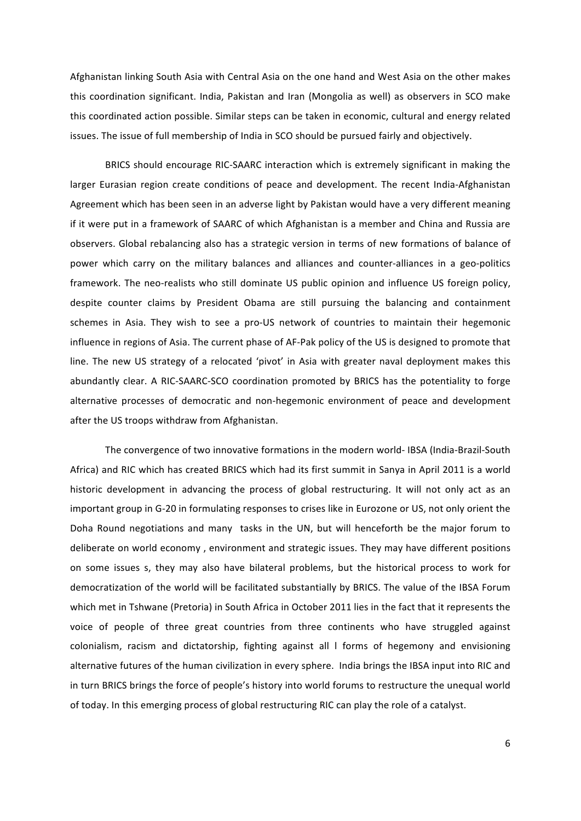Afghanistan linking South Asia with Central Asia on the one hand and West Asia on the other makes this coordination significant. India, Pakistan and Iran (Mongolia as well) as observers in SCO make this coordinated action possible. Similar steps can be taken in economic, cultural and energy related issues. The issue of full membership of India in SCO should be pursued fairly and objectively.

BRICS should encourage RIC-SAARC interaction which is extremely significant in making the larger Eurasian region create conditions of peace and development. The recent India-Afghanistan Agreement which has been seen in an adverse light by Pakistan would have a very different meaning if it were put in a framework of SAARC of which Afghanistan is a member and China and Russia are observers. Global rebalancing also has a strategic version in terms of new formations of balance of power which carry on the military balances and alliances and counter-alliances in a geo-politics framework. The neo-realists who still dominate US public opinion and influence US foreign policy, despite counter claims by President Obama are still pursuing the balancing and containment schemes in Asia. They wish to see a pro-US network of countries to maintain their hegemonic influence in regions of Asia. The current phase of AF-Pak policy of the US is designed to promote that line. The new US strategy of a relocated 'pivot' in Asia with greater naval deployment makes this abundantly clear. A RIC-SAARC-SCO coordination promoted by BRICS has the potentiality to forge alternative processes of democratic and non-hegemonic environment of peace and development after the US troops withdraw from Afghanistan.

The convergence of two innovative formations in the modern world- IBSA (India-Brazil-South Africa) and RIC which has created BRICS which had its first summit in Sanya in April 2011 is a world historic development in advancing the process of global restructuring. It will not only act as an important group in G-20 in formulating responses to crises like in Eurozone or US, not only orient the Doha Round negotiations and many tasks in the UN, but will henceforth be the major forum to deliberate on world economy, environment and strategic issues. They may have different positions on some issues s, they may also have bilateral problems, but the historical process to work for democratization of the world will be facilitated substantially by BRICS. The value of the IBSA Forum which met in Tshwane (Pretoria) in South Africa in October 2011 lies in the fact that it represents the voice of people of three great countries from three continents who have struggled against colonialism, racism and dictatorship, fighting against all I forms of hegemony and envisioning alternative futures of the human civilization in every sphere. India brings the IBSA input into RIC and in turn BRICS brings the force of people's history into world forums to restructure the unequal world of today. In this emerging process of global restructuring RIC can play the role of a catalyst.

6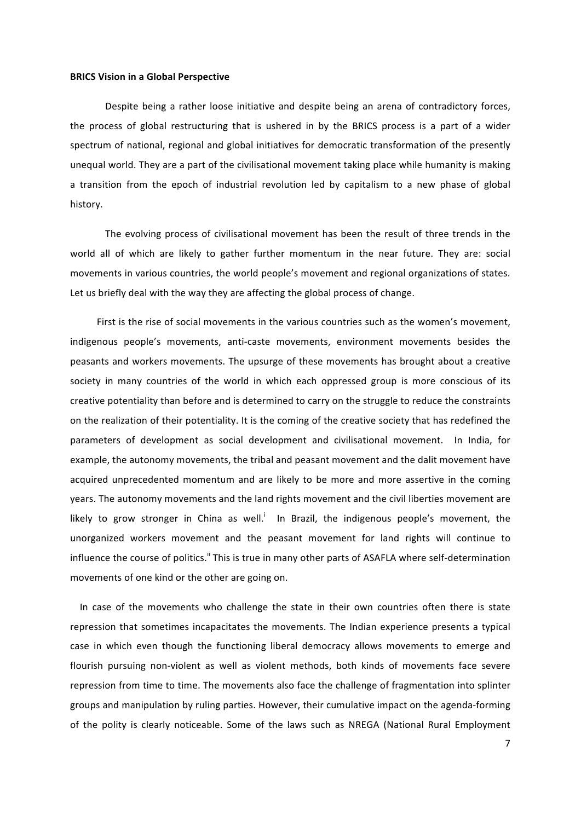#### **BRICS Vision in a Global Perspective**

Despite being a rather loose initiative and despite being an arena of contradictory forces, the process of global restructuring that is ushered in by the BRICS process is a part of a wider spectrum of national, regional and global initiatives for democratic transformation of the presently unequal world. They are a part of the civilisational movement taking place while humanity is making a transition from the epoch of industrial revolution led by capitalism to a new phase of global history.

The evolving process of civilisational movement has been the result of three trends in the world all of which are likely to gather further momentum in the near future. They are: social movements in various countries, the world people's movement and regional organizations of states. Let us briefly deal with the way they are affecting the global process of change.

First is the rise of social movements in the various countries such as the women's movement, indigenous people's movements, anti-caste movements, environment movements besides the peasants and workers movements. The upsurge of these movements has brought about a creative society in many countries of the world in which each oppressed group is more conscious of its creative potentiality than before and is determined to carry on the struggle to reduce the constraints on the realization of their potentiality. It is the coming of the creative society that has redefined the parameters of development as social development and civilisational movement. In India, for example, the autonomy movements, the tribal and peasant movement and the dalit movement have acquired unprecedented momentum and are likely to be more and more assertive in the coming years. The autonomy movements and the land rights movement and the civil liberties movement are likely to grow stronger in China as well.<sup>i</sup> In Brazil, the indigenous people's movement, the unorganized workers movement and the peasant movement for land rights will continue to influence the course of politics.<sup>"</sup> This is true in many other parts of ASAFLA where self-determination movements of one kind or the other are going on.

In case of the movements who challenge the state in their own countries often there is state repression that sometimes incapacitates the movements. The Indian experience presents a typical case in which even though the functioning liberal democracy allows movements to emerge and flourish pursuing non-violent as well as violent methods, both kinds of movements face severe repression from time to time. The movements also face the challenge of fragmentation into splinter groups and manipulation by ruling parties. However, their cumulative impact on the agenda-forming of the polity is clearly noticeable. Some of the laws such as NREGA (National Rural Employment

7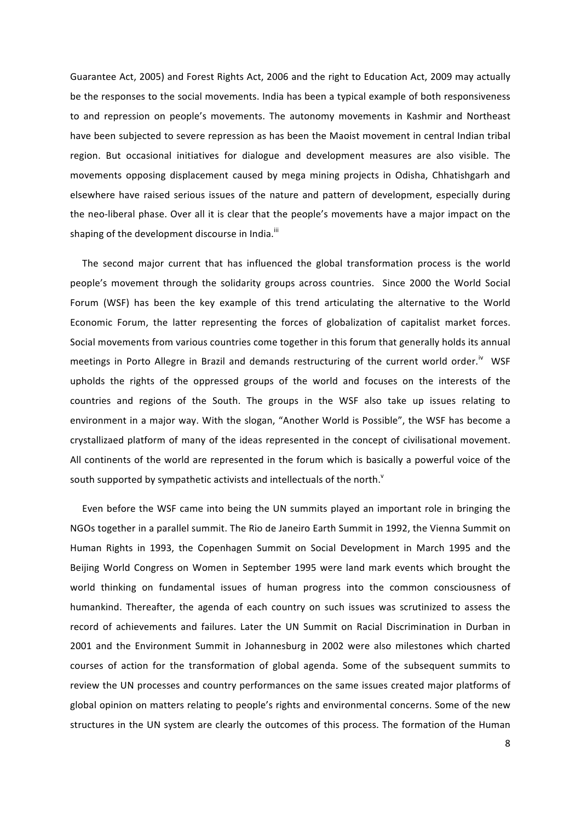Guarantee Act, 2005) and Forest Rights Act, 2006 and the right to Education Act, 2009 may actually be the responses to the social movements. India has been a typical example of both responsiveness to and repression on people's movements. The autonomy movements in Kashmir and Northeast have been subjected to severe repression as has been the Maoist movement in central Indian tribal region. But occasional initiatives for dialogue and development measures are also visible. The movements opposing displacement caused by mega mining projects in Odisha, Chhatishgarh and elsewhere have raised serious issues of the nature and pattern of development, especially during the neo-liberal phase. Over all it is clear that the people's movements have a major impact on the shaping of the development discourse in India.<sup>iii</sup>

The second major current that has influenced the global transformation process is the world people's movement through the solidarity groups across countries. Since 2000 the World Social Forum (WSF) has been the key example of this trend articulating the alternative to the World Economic Forum, the latter representing the forces of globalization of capitalist market forces. Social movements from various countries come together in this forum that generally holds its annual meetings in Porto Allegre in Brazil and demands restructuring of the current world order.<sup>iv</sup> WSF upholds the rights of the oppressed groups of the world and focuses on the interests of the countries and regions of the South. The groups in the WSF also take up issues relating to environment in a major way. With the slogan, "Another World is Possible", the WSF has become a crystallizaed platform of many of the ideas represented in the concept of civilisational movement. All continents of the world are represented in the forum which is basically a powerful voice of the south supported by sympathetic activists and intellectuals of the north.<sup>v</sup>

Even before the WSF came into being the UN summits played an important role in bringing the NGOs together in a parallel summit. The Rio de Janeiro Earth Summit in 1992, the Vienna Summit on Human Rights in 1993, the Copenhagen Summit on Social Development in March 1995 and the Beijing World Congress on Women in September 1995 were land mark events which brought the world thinking on fundamental issues of human progress into the common consciousness of humankind. Thereafter, the agenda of each country on such issues was scrutinized to assess the record of achievements and failures. Later the UN Summit on Racial Discrimination in Durban in 2001 and the Environment Summit in Johannesburg in 2002 were also milestones which charted courses of action for the transformation of global agenda. Some of the subsequent summits to review the UN processes and country performances on the same issues created major platforms of global opinion on matters relating to people's rights and environmental concerns. Some of the new structures in the UN system are clearly the outcomes of this process. The formation of the Human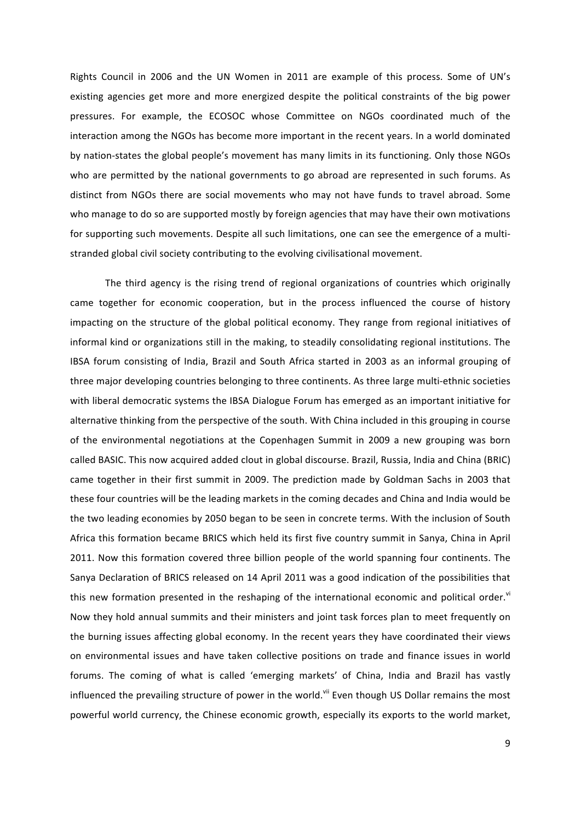Rights Council in 2006 and the UN Women in 2011 are example of this process. Some of UN's existing agencies get more and more energized despite the political constraints of the big power pressures. For example, the ECOSOC whose Committee on NGOs coordinated much of the interaction among the NGOs has become more important in the recent years. In a world dominated by nation-states the global people's movement has many limits in its functioning. Only those NGOs who are permitted by the national governments to go abroad are represented in such forums. As distinct from NGOs there are social movements who may not have funds to travel abroad. Some who manage to do so are supported mostly by foreign agencies that may have their own motivations for supporting such movements. Despite all such limitations, one can see the emergence of a multistranded global civil society contributing to the evolving civilisational movement.

The third agency is the rising trend of regional organizations of countries which originally came together for economic cooperation, but in the process influenced the course of history impacting on the structure of the global political economy. They range from regional initiatives of informal kind or organizations still in the making, to steadily consolidating regional institutions. The IBSA forum consisting of India, Brazil and South Africa started in 2003 as an informal grouping of three major developing countries belonging to three continents. As three large multi-ethnic societies with liberal democratic systems the IBSA Dialogue Forum has emerged as an important initiative for alternative thinking from the perspective of the south. With China included in this grouping in course of the environmental negotiations at the Copenhagen Summit in 2009 a new grouping was born called BASIC. This now acquired added clout in global discourse. Brazil, Russia, India and China (BRIC) came together in their first summit in 2009. The prediction made by Goldman Sachs in 2003 that these four countries will be the leading markets in the coming decades and China and India would be the two leading economies by 2050 began to be seen in concrete terms. With the inclusion of South Africa this formation became BRICS which held its first five country summit in Sanya, China in April 2011. Now this formation covered three billion people of the world spanning four continents. The Sanya Declaration of BRICS released on 14 April 2011 was a good indication of the possibilities that this new formation presented in the reshaping of the international economic and political order.<sup>vi</sup> Now they hold annual summits and their ministers and joint task forces plan to meet frequently on the burning issues affecting global economy. In the recent years they have coordinated their views on environmental issues and have taken collective positions on trade and finance issues in world forums. The coming of what is called 'emerging markets' of China, India and Brazil has vastly influenced the prevailing structure of power in the world.<sup>vii</sup> Even though US Dollar remains the most powerful world currency, the Chinese economic growth, especially its exports to the world market,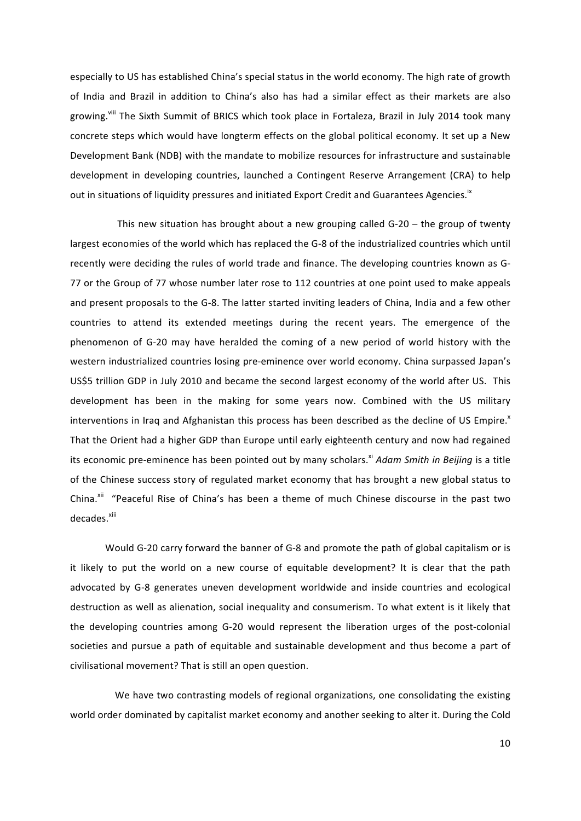especially to US has established China's special status in the world economy. The high rate of growth of India and Brazil in addition to China's also has had a similar effect as their markets are also growing. Vill The Sixth Summit of BRICS which took place in Fortaleza, Brazil in July 2014 took many concrete steps which would have longterm effects on the global political economy. It set up a New Development Bank (NDB) with the mandate to mobilize resources for infrastructure and sustainable development in developing countries, launched a Contingent Reserve Arrangement (CRA) to help out in situations of liquidity pressures and initiated Export Credit and Guarantees Agencies.<sup>1x</sup>

This new situation has brought about a new grouping called  $G-20$  – the group of twenty largest economies of the world which has replaced the G-8 of the industrialized countries which until recently were deciding the rules of world trade and finance. The developing countries known as G-77 or the Group of 77 whose number later rose to 112 countries at one point used to make appeals and present proposals to the G-8. The latter started inviting leaders of China, India and a few other countries to attend its extended meetings during the recent years. The emergence of the phenomenon of G-20 may have heralded the coming of a new period of world history with the western industrialized countries losing pre-eminence over world economy. China surpassed Japan's US\$5 trillion GDP in July 2010 and became the second largest economy of the world after US. This development has been in the making for some years now. Combined with the US military interventions in Iraq and Afghanistan this process has been described as the decline of US Empire. That the Orient had a higher GDP than Europe until early eighteenth century and now had regained its economic pre-eminence has been pointed out by many scholars.<sup>xi</sup> Adam Smith in Beijing is a title of the Chinese success story of regulated market economy that has brought a new global status to China.<sup>xii</sup> "Peaceful Rise of China's has been a theme of much Chinese discourse in the past two decades.<sup>xiii</sup>

Would G-20 carry forward the banner of G-8 and promote the path of global capitalism or is it likely to put the world on a new course of equitable development? It is clear that the path advocated by G-8 generates uneven development worldwide and inside countries and ecological destruction as well as alienation, social inequality and consumerism. To what extent is it likely that the developing countries among G-20 would represent the liberation urges of the post-colonial societies and pursue a path of equitable and sustainable development and thus become a part of civilisational movement? That is still an open question.

We have two contrasting models of regional organizations, one consolidating the existing world order dominated by capitalist market economy and another seeking to alter it. During the Cold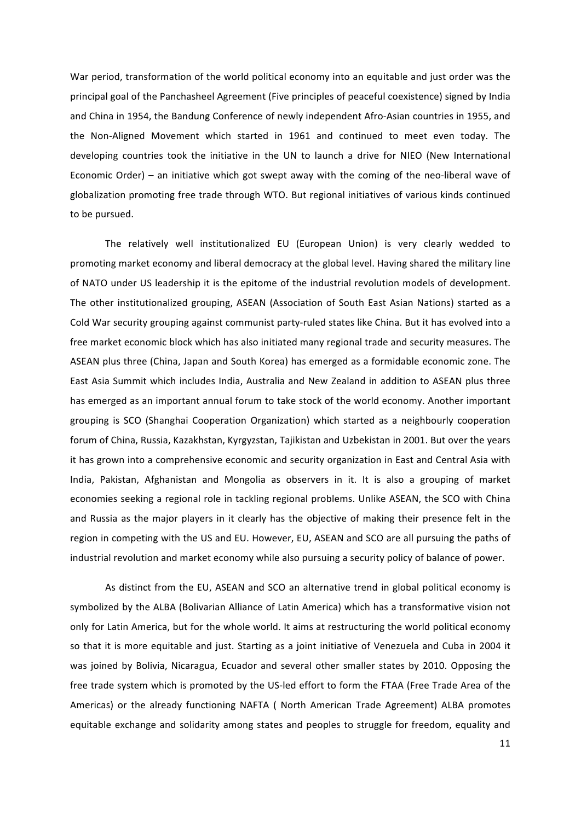War period, transformation of the world political economy into an equitable and just order was the principal goal of the Panchasheel Agreement (Five principles of peaceful coexistence) signed by India and China in 1954, the Bandung Conference of newly independent Afro-Asian countries in 1955, and the Non-Aligned Movement which started in 1961 and continued to meet even today. The developing countries took the initiative in the UN to launch a drive for NIEO (New International Economic Order) – an initiative which got swept away with the coming of the neo-liberal wave of globalization promoting free trade through WTO. But regional initiatives of various kinds continued to be pursued.

The relatively well institutionalized EU (European Union) is very clearly wedded to promoting market economy and liberal democracy at the global level. Having shared the military line of NATO under US leadership it is the epitome of the industrial revolution models of development. The other institutionalized grouping, ASEAN (Association of South East Asian Nations) started as a Cold War security grouping against communist party-ruled states like China. But it has evolved into a free market economic block which has also initiated many regional trade and security measures. The ASEAN plus three (China, Japan and South Korea) has emerged as a formidable economic zone. The East Asia Summit which includes India, Australia and New Zealand in addition to ASEAN plus three has emerged as an important annual forum to take stock of the world economy. Another important grouping is SCO (Shanghai Cooperation Organization) which started as a neighbourly cooperation forum of China, Russia, Kazakhstan, Kyrgyzstan, Tajikistan and Uzbekistan in 2001. But over the years it has grown into a comprehensive economic and security organization in East and Central Asia with India, Pakistan, Afghanistan and Mongolia as observers in it. It is also a grouping of market economies seeking a regional role in tackling regional problems. Unlike ASEAN, the SCO with China and Russia as the major players in it clearly has the objective of making their presence felt in the region in competing with the US and EU. However, EU, ASEAN and SCO are all pursuing the paths of industrial revolution and market economy while also pursuing a security policy of balance of power.

As distinct from the EU, ASEAN and SCO an alternative trend in global political economy is symbolized by the ALBA (Bolivarian Alliance of Latin America) which has a transformative vision not only for Latin America, but for the whole world. It aims at restructuring the world political economy so that it is more equitable and just. Starting as a joint initiative of Venezuela and Cuba in 2004 it was joined by Bolivia, Nicaragua, Ecuador and several other smaller states by 2010. Opposing the free trade system which is promoted by the US-led effort to form the FTAA (Free Trade Area of the Americas) or the already functioning NAFTA ( North American Trade Agreement) ALBA promotes equitable exchange and solidarity among states and peoples to struggle for freedom, equality and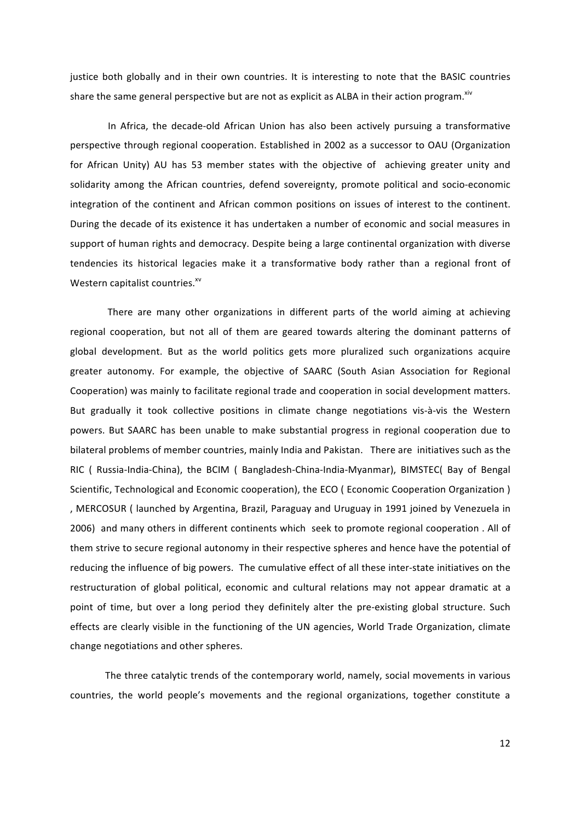justice both globally and in their own countries. It is interesting to note that the BASIC countries share the same general perspective but are not as explicit as ALBA in their action program.<sup>xiv</sup>

In Africa, the decade-old African Union has also been actively pursuing a transformative perspective through regional cooperation. Established in 2002 as a successor to OAU (Organization for African Unity) AU has 53 member states with the objective of achieving greater unity and solidarity among the African countries, defend sovereignty, promote political and socio-economic integration of the continent and African common positions on issues of interest to the continent. During the decade of its existence it has undertaken a number of economic and social measures in support of human rights and democracy. Despite being a large continental organization with diverse tendencies its historical legacies make it a transformative body rather than a regional front of Western capitalist countries.<sup>xv</sup>

There are many other organizations in different parts of the world aiming at achieving regional cooperation, but not all of them are geared towards altering the dominant patterns of global development. But as the world politics gets more pluralized such organizations acquire greater autonomy. For example, the objective of SAARC (South Asian Association for Regional Cooperation) was mainly to facilitate regional trade and cooperation in social development matters. But gradually it took collective positions in climate change negotiations vis-à-vis the Western powers. But SAARC has been unable to make substantial progress in regional cooperation due to bilateral problems of member countries, mainly India and Pakistan. There are initiatives such as the RIC ( Russia-India-China), the BCIM ( Bangladesh-China-India-Myanmar), BIMSTEC( Bay of Bengal Scientific, Technological and Economic cooperation), the ECO ( Economic Cooperation Organization ) , MERCOSUR ( launched by Argentina, Brazil, Paraguay and Uruguay in 1991 joined by Venezuela in 2006) and many others in different continents which seek to promote regional cooperation . All of them strive to secure regional autonomy in their respective spheres and hence have the potential of reducing the influence of big powers. The cumulative effect of all these inter-state initiatives on the restructuration of global political, economic and cultural relations may not appear dramatic at a point of time, but over a long period they definitely alter the pre-existing global structure. Such effects are clearly visible in the functioning of the UN agencies, World Trade Organization, climate change negotiations and other spheres.

The three catalytic trends of the contemporary world, namely, social movements in various countries, the world people's movements and the regional organizations, together constitute a

12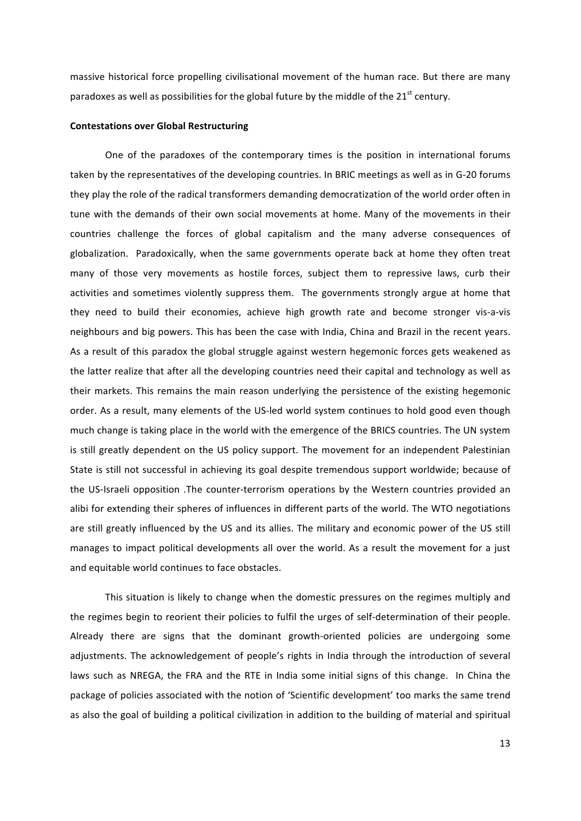massive historical force propelling civilisational movement of the human race. But there are many paradoxes as well as possibilities for the global future by the middle of the  $21<sup>st</sup>$  century.

### **Contestations over Global Restructuring**

One of the paradoxes of the contemporary times is the position in international forums taken by the representatives of the developing countries. In BRIC meetings as well as in G-20 forums they play the role of the radical transformers demanding democratization of the world order often in tune with the demands of their own social movements at home. Many of the movements in their countries challenge the forces of global capitalism and the many adverse consequences of globalization. Paradoxically, when the same governments operate back at home they often treat many of those very movements as hostile forces, subject them to repressive laws, curb their activities and sometimes violently suppress them. The governments strongly argue at home that they need to build their economies, achieve high growth rate and become stronger vis-a-vis neighbours and big powers. This has been the case with India, China and Brazil in the recent years. As a result of this paradox the global struggle against western hegemonic forces gets weakened as the latter realize that after all the developing countries need their capital and technology as well as their markets. This remains the main reason underlying the persistence of the existing hegemonic order. As a result, many elements of the US-led world system continues to hold good even though much change is taking place in the world with the emergence of the BRICS countries. The UN system is still greatly dependent on the US policy support. The movement for an independent Palestinian State is still not successful in achieving its goal despite tremendous support worldwide; because of the US-Israeli opposition .The counter-terrorism operations by the Western countries provided an alibi for extending their spheres of influences in different parts of the world. The WTO negotiations are still greatly influenced by the US and its allies. The military and economic power of the US still manages to impact political developments all over the world. As a result the movement for a just and equitable world continues to face obstacles.

This situation is likely to change when the domestic pressures on the regimes multiply and the regimes begin to reorient their policies to fulfil the urges of self-determination of their people. Already there are signs that the dominant growth-oriented policies are undergoing some adjustments. The acknowledgement of people's rights in India through the introduction of several laws such as NREGA, the FRA and the RTE in India some initial signs of this change. In China the package of policies associated with the notion of 'Scientific development' too marks the same trend as also the goal of building a political civilization in addition to the building of material and spiritual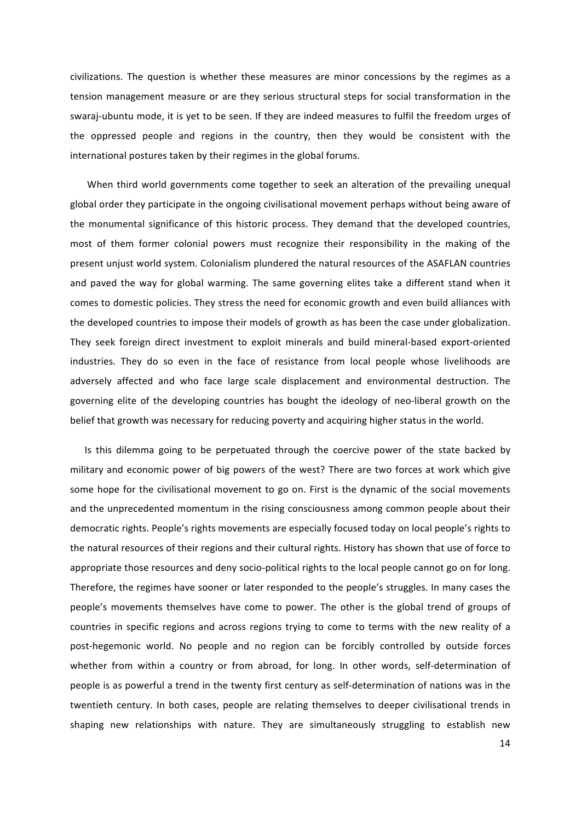civilizations. The question is whether these measures are minor concessions by the regimes as a tension management measure or are they serious structural steps for social transformation in the swaraj-ubuntu mode, it is yet to be seen. If they are indeed measures to fulfil the freedom urges of the oppressed people and regions in the country, then they would be consistent with the international postures taken by their regimes in the global forums.

When third world governments come together to seek an alteration of the prevailing unequal global order they participate in the ongoing civilisational movement perhaps without being aware of the monumental significance of this historic process. They demand that the developed countries, most of them former colonial powers must recognize their responsibility in the making of the present unjust world system. Colonialism plundered the natural resources of the ASAFLAN countries and paved the way for global warming. The same governing elites take a different stand when it comes to domestic policies. They stress the need for economic growth and even build alliances with the developed countries to impose their models of growth as has been the case under globalization. They seek foreign direct investment to exploit minerals and build mineral-based export-oriented industries. They do so even in the face of resistance from local people whose livelihoods are adversely affected and who face large scale displacement and environmental destruction. The governing elite of the developing countries has bought the ideology of neo-liberal growth on the belief that growth was necessary for reducing poverty and acquiring higher status in the world.

Is this dilemma going to be perpetuated through the coercive power of the state backed by military and economic power of big powers of the west? There are two forces at work which give some hope for the civilisational movement to go on. First is the dynamic of the social movements and the unprecedented momentum in the rising consciousness among common people about their democratic rights. People's rights movements are especially focused today on local people's rights to the natural resources of their regions and their cultural rights. History has shown that use of force to appropriate those resources and deny socio-political rights to the local people cannot go on for long. Therefore, the regimes have sooner or later responded to the people's struggles. In many cases the people's movements themselves have come to power. The other is the global trend of groups of countries in specific regions and across regions trying to come to terms with the new reality of a post-hegemonic world. No people and no region can be forcibly controlled by outside forces whether from within a country or from abroad, for long. In other words, self-determination of people is as powerful a trend in the twenty first century as self-determination of nations was in the twentieth century. In both cases, people are relating themselves to deeper civilisational trends in shaping new relationships with nature. They are simultaneously struggling to establish new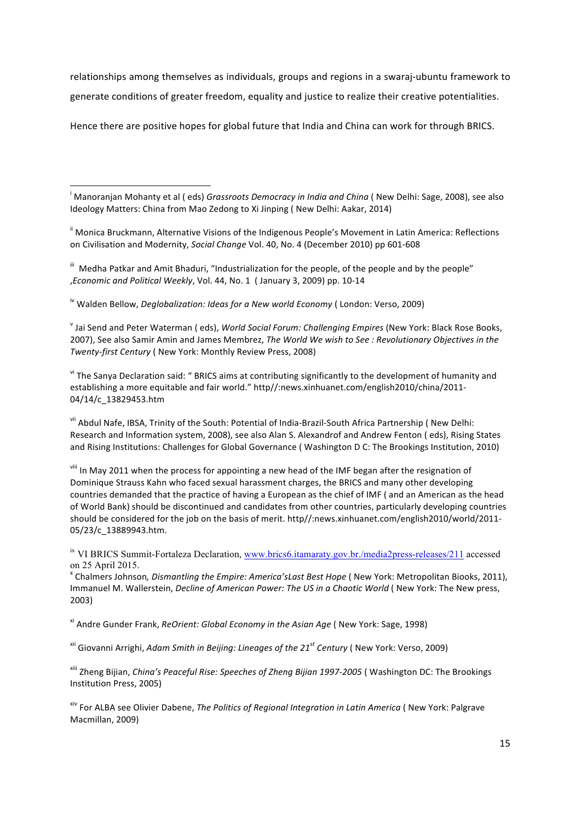relationships among themselves as individuals, groups and regions in a swaraj-ubuntu framework to generate conditions of greater freedom, equality and justice to realize their creative potentialities.

Hence there are positive hopes for global future that India and China can work for through BRICS.

<sup>i</sup> Manoranjan Mohanty et al ( eds) *Grassroots Democracy in India and China* ( New Delhi: Sage, 2008), see also Ideology Matters: China from Mao Zedong to Xi Jinping (New Delhi: Aakar, 2014)

<sup>ii</sup> Monica Bruckmann, Alternative Visions of the Indigenous People's Movement in Latin America: Reflections on Civilisation and Modernity, *Social Change* Vol. 40, No. 4 (December 2010) pp 601-608

 $^{\text{\tiny{III}}}$  Medha Patkar and Amit Bhaduri, "Industrialization for the people, of the people and by the people" ,*Economic and Political Weekly*, Vol. 44, No. 1 ( January 3, 2009) pp. 10-14

<sup>iv</sup> Walden Bellow, *Deglobalization: Ideas for a New world Economy* ( London: Verso, 2009)

<u> 1989 - Johann Barn, mars ann an t-Amhain an t-Amhain an t-Amhain an t-Amhain an t-Amhain an t-Amhain an t-Amh</u>

<sup>v</sup> Jai Send and Peter Waterman ( eds), World Social Forum: Challenging Empires (New York: Black Rose Books, 2007), See also Samir Amin and James Membrez, *The World We wish to See : Revolutionary Objectives in the Twenty-first Century* ( New York: Monthly Review Press, 2008)

vi The Sanya Declaration said: " BRICS aims at contributing significantly to the development of humanity and establishing a more equitable and fair world." http//:news.xinhuanet.com/english2010/china/2011-04/14/c\_13829453.htm

vii Abdul Nafe, IBSA, Trinity of the South: Potential of India-Brazil-South Africa Partnership (New Delhi: Research and Information system, 2008), see also Alan S. Alexandrof and Andrew Fenton (eds), Rising States and Rising Institutions: Challenges for Global Governance (Washington D C: The Brookings Institution, 2010)

viii In May 2011 when the process for appointing a new head of the IMF began after the resignation of Dominique Strauss Kahn who faced sexual harassment charges, the BRICS and many other developing countries demanded that the practice of having a European as the chief of IMF ( and an American as the head of World Bank) should be discontinued and candidates from other countries, particularly developing countries should be considered for the job on the basis of merit. http//:news.xinhuanet.com/english2010/world/2011-05/23/c\_13889943.htm.

<sup>ix</sup> VI BRICS Summit-Fortaleza Declaration, www.brics6.itamaraty.gov.br./media2press-releases/211 accessed on 25 April 2015.<br><sup>x</sup> Chalmers Johnson, *Dismantling the Empire: America'sLast Best Hope* (*New York: Metropolitan Biooks, 2011*),

Immanuel M. Wallerstein, *Decline of American Power: The US in a Chaotic World* (New York: The New press, 2003)

<sup>xi</sup> Andre Gunder Frank, *ReOrient: Global Economy in the Asian Age* (New York: Sage, 1998)

<sup>xii</sup> Giovanni Arrighi, *Adam Smith in Beijing: Lineages of the 21<sup>st</sup> Century* (New York: Verso, 2009)

<sup>xiii</sup> Zheng Bijian, *China's Peaceful Rise: Speeches of Zheng Bijian 1997-2005* (Washington DC: The Brookings Institution Press, 2005)

<sup>xiv</sup> For ALBA see Olivier Dabene, *The Politics of Regional Integration in Latin America* (New York: Palgrave Macmillan, 2009)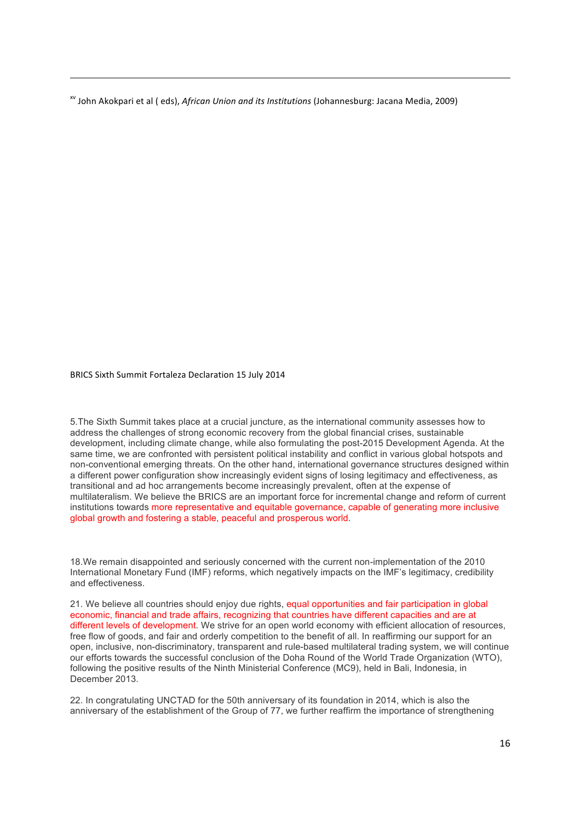<sup>xv</sup> John Akokpari et al ( eds), *African Union and its Institutions* (Johannesburg: Jacana Media, 2009)

<u> 1989 - Johann Barbert Barbert Barbert Barbert Barbert Barbert Barbert Barbert Barbert Barbert Barbert Barbert</u>

BRICS Sixth Summit Fortaleza Declaration 15 July 2014

5.The Sixth Summit takes place at a crucial juncture, as the international community assesses how to address the challenges of strong economic recovery from the global financial crises, sustainable development, including climate change, while also formulating the post-2015 Development Agenda. At the same time, we are confronted with persistent political instability and conflict in various global hotspots and non-conventional emerging threats. On the other hand, international governance structures designed within a different power configuration show increasingly evident signs of losing legitimacy and effectiveness, as transitional and ad hoc arrangements become increasingly prevalent, often at the expense of multilateralism. We believe the BRICS are an important force for incremental change and reform of current institutions towards more representative and equitable governance, capable of generating more inclusive global growth and fostering a stable, peaceful and prosperous world.

18.We remain disappointed and seriously concerned with the current non-implementation of the 2010 International Monetary Fund (IMF) reforms, which negatively impacts on the IMF's legitimacy, credibility and effectiveness.

21. We believe all countries should enjoy due rights, equal opportunities and fair participation in global economic, financial and trade affairs, recognizing that countries have different capacities and are at different levels of development. We strive for an open world economy with efficient allocation of resources, free flow of goods, and fair and orderly competition to the benefit of all. In reaffirming our support for an open, inclusive, non-discriminatory, transparent and rule-based multilateral trading system, we will continue our efforts towards the successful conclusion of the Doha Round of the World Trade Organization (WTO), following the positive results of the Ninth Ministerial Conference (MC9), held in Bali, Indonesia, in December 2013.

22. In congratulating UNCTAD for the 50th anniversary of its foundation in 2014, which is also the anniversary of the establishment of the Group of 77, we further reaffirm the importance of strengthening